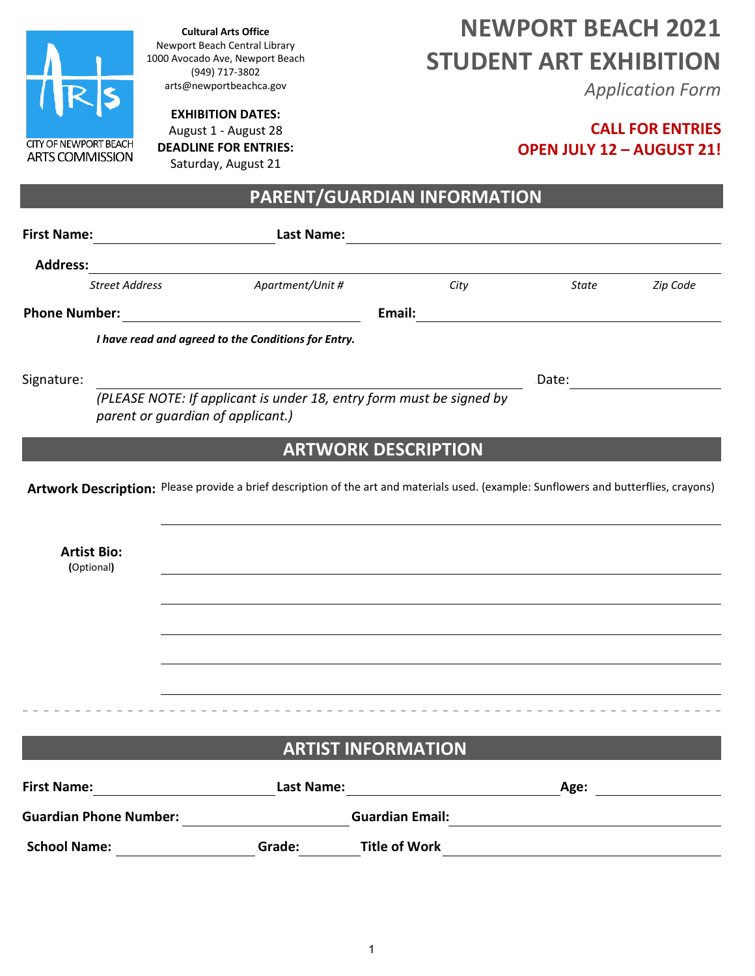

**Cultural Arts Office** Newport Beach Central Library 1000 Avocado Ave, Newport Beach (949) 717-3802 arts@newportbeachca.gov

**EXHIBITION DATES:** 

August 1 - August 28 **DEADLINE FOR ENTRIES:**  Saturday, August 21

# **NEWPORT BEACH 2021 STUDENT ART EXHIBITION**

*Application Form*

## **CALL FOR ENTRIES OPEN JULY 12 – AUGUST 21!**

**PARENT/GUARDIAN INFORMATION**

| <b>First Name:</b>               | <u> Alban Alban a</u>             | <b>Last Name:</b>                                   |                                                                                                                                       |                                                                                                                       |          |
|----------------------------------|-----------------------------------|-----------------------------------------------------|---------------------------------------------------------------------------------------------------------------------------------------|-----------------------------------------------------------------------------------------------------------------------|----------|
| <b>Address:</b>                  |                                   |                                                     |                                                                                                                                       |                                                                                                                       |          |
|                                  | <b>Street Address</b>             | Apartment/Unit #                                    | City                                                                                                                                  | State                                                                                                                 | Zip Code |
| <b>Phone Number:</b>             |                                   |                                                     | Email:                                                                                                                                |                                                                                                                       |          |
|                                  |                                   | I have read and agreed to the Conditions for Entry. |                                                                                                                                       |                                                                                                                       |          |
| Signature:                       |                                   |                                                     |                                                                                                                                       | Date:                                                                                                                 |          |
|                                  | parent or guardian of applicant.) |                                                     | (PLEASE NOTE: If applicant is under 18, entry form must be signed by                                                                  |                                                                                                                       |          |
|                                  |                                   |                                                     | <b>ARTWORK DESCRIPTION</b>                                                                                                            |                                                                                                                       |          |
|                                  |                                   |                                                     | Artwork Description: Please provide a brief description of the art and materials used. (example: Sunflowers and butterflies, crayons) |                                                                                                                       |          |
|                                  |                                   |                                                     |                                                                                                                                       |                                                                                                                       |          |
| <b>Artist Bio:</b><br>(Optional) |                                   |                                                     |                                                                                                                                       |                                                                                                                       |          |
|                                  |                                   |                                                     |                                                                                                                                       |                                                                                                                       |          |
|                                  |                                   |                                                     |                                                                                                                                       |                                                                                                                       |          |
|                                  |                                   |                                                     |                                                                                                                                       |                                                                                                                       |          |
|                                  |                                   |                                                     |                                                                                                                                       |                                                                                                                       |          |
|                                  |                                   |                                                     |                                                                                                                                       |                                                                                                                       |          |
|                                  |                                   |                                                     | <b>ARTIST INFORMATION</b>                                                                                                             |                                                                                                                       |          |
| <b>First Name:</b>               |                                   | <b>Last Name:</b>                                   |                                                                                                                                       | Age:                                                                                                                  |          |
|                                  | <b>Guardian Phone Number:</b>     |                                                     | <b>Guardian Email:</b>                                                                                                                | <u> 1989 - John Stein, mars and de Brandenberg and de Brandenberg and de Brandenberg and de Brandenberg and de Br</u> |          |
| <b>School Name:</b>              |                                   | Grade:                                              | <b>Title of Work</b>                                                                                                                  | the contract of the contract of the contract of the contract of the contract of                                       |          |